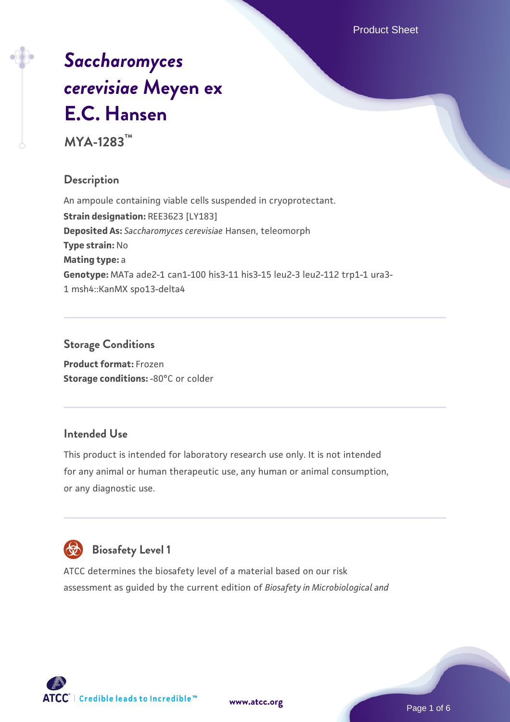# *[Saccharomyces](https://www.atcc.org/products/mya-1283) [cerevisiae](https://www.atcc.org/products/mya-1283)* **[Meyen ex](https://www.atcc.org/products/mya-1283) [E.C. Hansen](https://www.atcc.org/products/mya-1283)**

**MYA-1283™**

## **Description**

An ampoule containing viable cells suspended in cryoprotectant. **Strain designation:** REE3623 [LY183] **Deposited As:** *Saccharomyces cerevisiae* Hansen, teleomorph **Type strain:** No **Mating type:** a **Genotype:** MATa ade2-1 can1-100 his3-11 his3-15 leu2-3 leu2-112 trp1-1 ura3- 1 msh4::KanMX spo13-delta4

## **Storage Conditions**

**Product format:** Frozen **Storage conditions: -80°C or colder** 

## **Intended Use**

This product is intended for laboratory research use only. It is not intended for any animal or human therapeutic use, any human or animal consumption, or any diagnostic use.



# **Biosafety Level 1**

ATCC determines the biosafety level of a material based on our risk assessment as guided by the current edition of *Biosafety in Microbiological and*

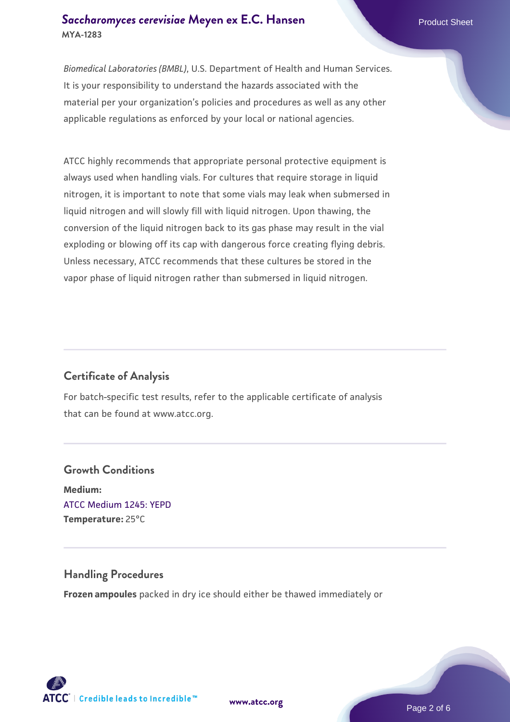## **[Saccharomyces cerevisiae](https://www.atcc.org/products/mya-1283)** [Meyen ex E.C. Hansen](https://www.atcc.org/products/mya-1283) **MYA-1283**

*Biomedical Laboratories (BMBL)*, U.S. Department of Health and Human Services. It is your responsibility to understand the hazards associated with the material per your organization's policies and procedures as well as any other applicable regulations as enforced by your local or national agencies.

ATCC highly recommends that appropriate personal protective equipment is always used when handling vials. For cultures that require storage in liquid nitrogen, it is important to note that some vials may leak when submersed in liquid nitrogen and will slowly fill with liquid nitrogen. Upon thawing, the conversion of the liquid nitrogen back to its gas phase may result in the vial exploding or blowing off its cap with dangerous force creating flying debris. Unless necessary, ATCC recommends that these cultures be stored in the vapor phase of liquid nitrogen rather than submersed in liquid nitrogen.

## **Certificate of Analysis**

For batch-specific test results, refer to the applicable certificate of analysis that can be found at www.atcc.org.

## **Growth Conditions Medium:**  [ATCC Medium 1245: YEPD](https://www.atcc.org/-/media/product-assets/documents/microbial-media-formulations/1/2/4/5/atcc-medium-1245.pdf?rev=705ca55d1b6f490a808a965d5c072196) **Temperature:** 25°C

## **Handling Procedures**

**Frozen ampoules** packed in dry ice should either be thawed immediately or



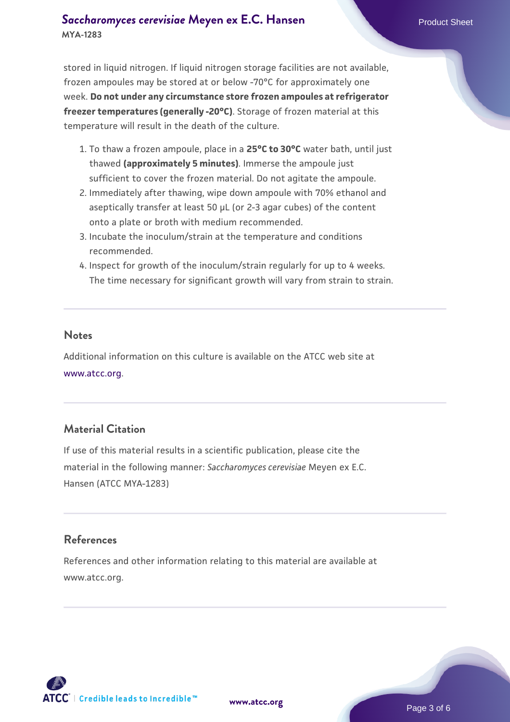## **[Saccharomyces cerevisiae](https://www.atcc.org/products/mya-1283)** [Meyen ex E.C. Hansen](https://www.atcc.org/products/mya-1283) **MYA-1283**

stored in liquid nitrogen. If liquid nitrogen storage facilities are not available, frozen ampoules may be stored at or below -70°C for approximately one week. **Do not under any circumstance store frozen ampoules at refrigerator freezer temperatures (generally -20°C)**. Storage of frozen material at this temperature will result in the death of the culture.

- 1. To thaw a frozen ampoule, place in a **25°C to 30°C** water bath, until just thawed **(approximately 5 minutes)**. Immerse the ampoule just sufficient to cover the frozen material. Do not agitate the ampoule.
- 2. Immediately after thawing, wipe down ampoule with 70% ethanol and aseptically transfer at least 50 µL (or 2-3 agar cubes) of the content onto a plate or broth with medium recommended.
- 3. Incubate the inoculum/strain at the temperature and conditions recommended.
- 4. Inspect for growth of the inoculum/strain regularly for up to 4 weeks. The time necessary for significant growth will vary from strain to strain.

#### **Notes**

Additional information on this culture is available on the ATCC web site at [www.atcc.org.](http://www.atcc.org/)

## **Material Citation**

If use of this material results in a scientific publication, please cite the material in the following manner: *Saccharomyces cerevisiae* Meyen ex E.C. Hansen (ATCC MYA-1283)

## **References**

References and other information relating to this material are available at www.atcc.org.

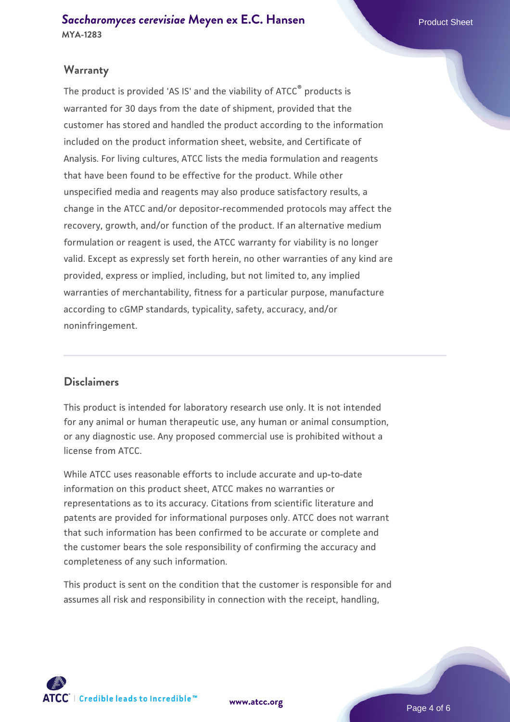## **Warranty**

The product is provided 'AS IS' and the viability of ATCC® products is warranted for 30 days from the date of shipment, provided that the customer has stored and handled the product according to the information included on the product information sheet, website, and Certificate of Analysis. For living cultures, ATCC lists the media formulation and reagents that have been found to be effective for the product. While other unspecified media and reagents may also produce satisfactory results, a change in the ATCC and/or depositor-recommended protocols may affect the recovery, growth, and/or function of the product. If an alternative medium formulation or reagent is used, the ATCC warranty for viability is no longer valid. Except as expressly set forth herein, no other warranties of any kind are provided, express or implied, including, but not limited to, any implied warranties of merchantability, fitness for a particular purpose, manufacture according to cGMP standards, typicality, safety, accuracy, and/or noninfringement.

#### **Disclaimers**

This product is intended for laboratory research use only. It is not intended for any animal or human therapeutic use, any human or animal consumption, or any diagnostic use. Any proposed commercial use is prohibited without a license from ATCC.

While ATCC uses reasonable efforts to include accurate and up-to-date information on this product sheet, ATCC makes no warranties or representations as to its accuracy. Citations from scientific literature and patents are provided for informational purposes only. ATCC does not warrant that such information has been confirmed to be accurate or complete and the customer bears the sole responsibility of confirming the accuracy and completeness of any such information.

This product is sent on the condition that the customer is responsible for and assumes all risk and responsibility in connection with the receipt, handling,



**[www.atcc.org](http://www.atcc.org)**

Page 4 of 6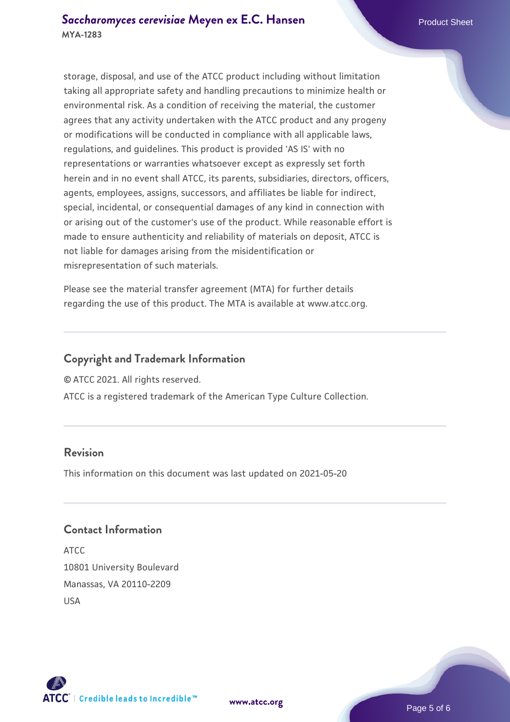storage, disposal, and use of the ATCC product including without limitation taking all appropriate safety and handling precautions to minimize health or environmental risk. As a condition of receiving the material, the customer agrees that any activity undertaken with the ATCC product and any progeny or modifications will be conducted in compliance with all applicable laws, regulations, and guidelines. This product is provided 'AS IS' with no representations or warranties whatsoever except as expressly set forth herein and in no event shall ATCC, its parents, subsidiaries, directors, officers, agents, employees, assigns, successors, and affiliates be liable for indirect, special, incidental, or consequential damages of any kind in connection with or arising out of the customer's use of the product. While reasonable effort is made to ensure authenticity and reliability of materials on deposit, ATCC is not liable for damages arising from the misidentification or misrepresentation of such materials.

Please see the material transfer agreement (MTA) for further details regarding the use of this product. The MTA is available at www.atcc.org.

## **Copyright and Trademark Information**

© ATCC 2021. All rights reserved.

ATCC is a registered trademark of the American Type Culture Collection.

## **Revision**

This information on this document was last updated on 2021-05-20

## **Contact Information**

ATCC 10801 University Boulevard Manassas, VA 20110-2209 USA